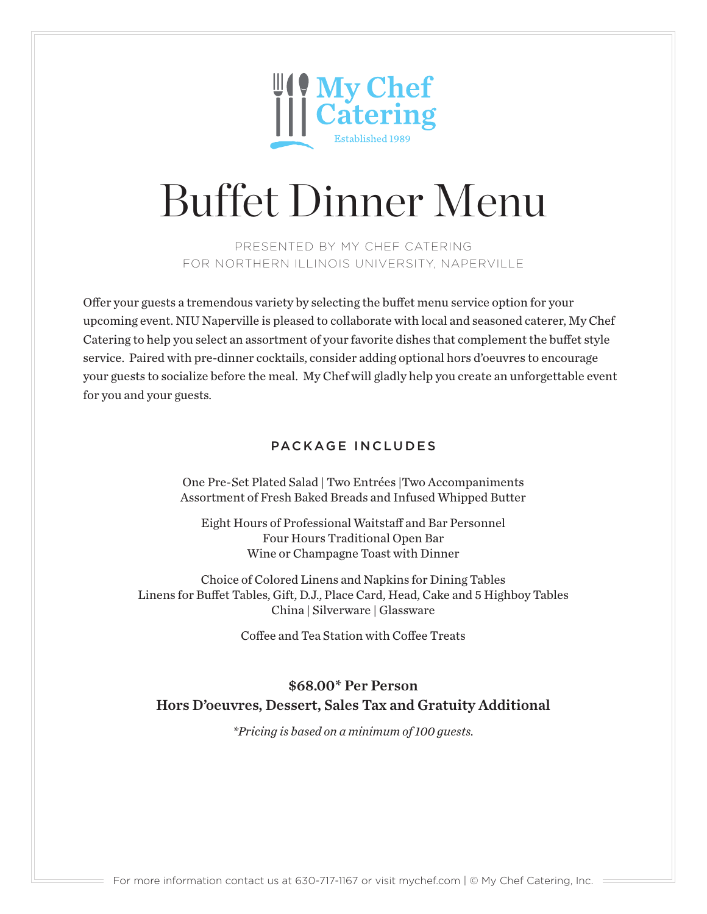

PRESENTED BY MY CHEF CATERING FOR NORTHERN ILLINOIS UNIVERSITY, NAPERVILLE

Offer your guests a tremendous variety by selecting the buffet menu service option for your upcoming event. NIU Naperville is pleased to collaborate with local and seasoned caterer, My Chef Catering to help you select an assortment of your favorite dishes that complement the buffet style service. Paired with pre-dinner cocktails, consider adding optional hors d'oeuvres to encourage your guests to socialize before the meal. My Chef will gladly help you create an unforgettable event for you and your guests.

## PACKAGE INCLUDES

One Pre-Set Plated Salad | Two Entrées |Two Accompaniments Assortment of Fresh Baked Breads and Infused Whipped Butter

Eight Hours of Professional Waitstaff and Bar Personnel Four Hours Traditional Open Bar Wine or Champagne Toast with Dinner

Choice of Colored Linens and Napkins for Dining Tables Linens for Buffet Tables, Gift, D.J., Place Card, Head, Cake and 5 Highboy Tables China | Silverware | Glassware

Coffee and Tea Station with Coffee Treats

## \$68.00\* Per Person Hors D'oeuvres, Dessert, Sales Tax and Gratuity Additional

*\*Pricing is based on a minimum of 100 guests.*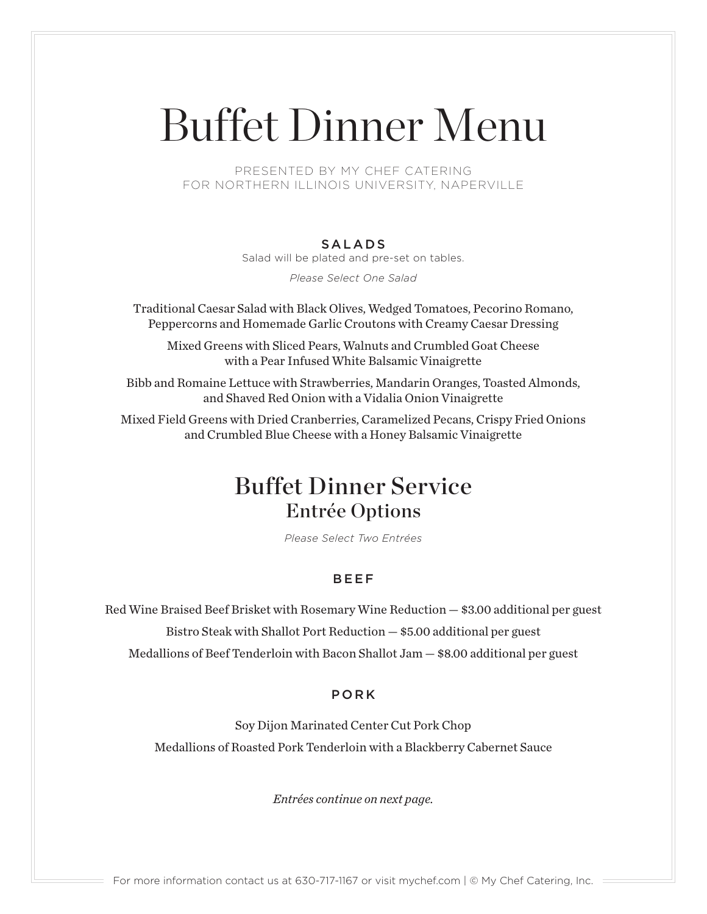PRESENTED BY MY CHEF CATERING FOR NORTHERN ILLINOIS UNIVERSITY, NAPERVILLE

### SALADS

Salad will be plated and pre-set on tables.

*Please Select One Salad*

Traditional Caesar Salad with Black Olives, Wedged Tomatoes, Pecorino Romano, Peppercorns and Homemade Garlic Croutons with Creamy Caesar Dressing

Mixed Greens with Sliced Pears, Walnuts and Crumbled Goat Cheese with a Pear Infused White Balsamic Vinaigrette

Bibb and Romaine Lettuce with Strawberries, Mandarin Oranges, Toasted Almonds, and Shaved Red Onion with a Vidalia Onion Vinaigrette

Mixed Field Greens with Dried Cranberries, Caramelized Pecans, Crispy Fried Onions and Crumbled Blue Cheese with a Honey Balsamic Vinaigrette

## Buffet Dinner Service Entrée Options

*Please Select Two Entrées*

### BEEF

Red Wine Braised Beef Brisket with Rosemary Wine Reduction — \$3.00 additional per guest Bistro Steak with Shallot Port Reduction — \$5.00 additional per guest Medallions of Beef Tenderloin with Bacon Shallot Jam — \$8.00 additional per guest

### PORK

Soy Dijon Marinated Center Cut Pork Chop Medallions of Roasted Pork Tenderloin with a Blackberry Cabernet Sauce

*Entrées continue on next page.*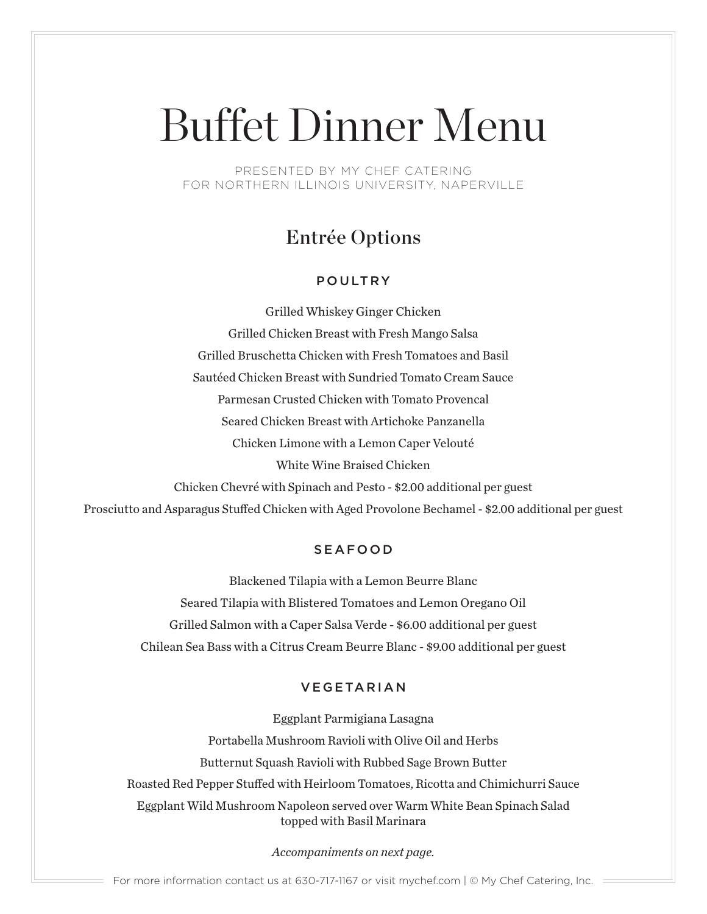PRESENTED BY MY CHEF CATERING FOR NORTHERN ILLINOIS UNIVERSITY, NAPERVILLE

## Entrée Options

## POULTRY

Grilled Whiskey Ginger Chicken Grilled Chicken Breast with Fresh Mango Salsa Grilled Bruschetta Chicken with Fresh Tomatoes and Basil Sautéed Chicken Breast with Sundried Tomato Cream Sauce Parmesan Crusted Chicken with Tomato Provencal Seared Chicken Breast with Artichoke Panzanella Chicken Limone with a Lemon Caper Velouté White Wine Braised Chicken Chicken Chevré with Spinach and Pesto - \$2.00 additional per guest Prosciutto and Asparagus Stuffed Chicken with Aged Provolone Bechamel - \$2.00 additional per guest

## SEAFOOD

Blackened Tilapia with a Lemon Beurre Blanc Seared Tilapia with Blistered Tomatoes and Lemon Oregano Oil Grilled Salmon with a Caper Salsa Verde - \$6.00 additional per guest Chilean Sea Bass with a Citrus Cream Beurre Blanc - \$9.00 additional per guest

## VEGETARIAN

Eggplant Parmigiana Lasagna Portabella Mushroom Ravioli with Olive Oil and Herbs Butternut Squash Ravioli with Rubbed Sage Brown Butter Roasted Red Pepper Stuffed with Heirloom Tomatoes, Ricotta and Chimichurri Sauce Eggplant Wild Mushroom Napoleon served over Warm White Bean Spinach Salad topped with Basil Marinara

*Accompaniments on next page.*